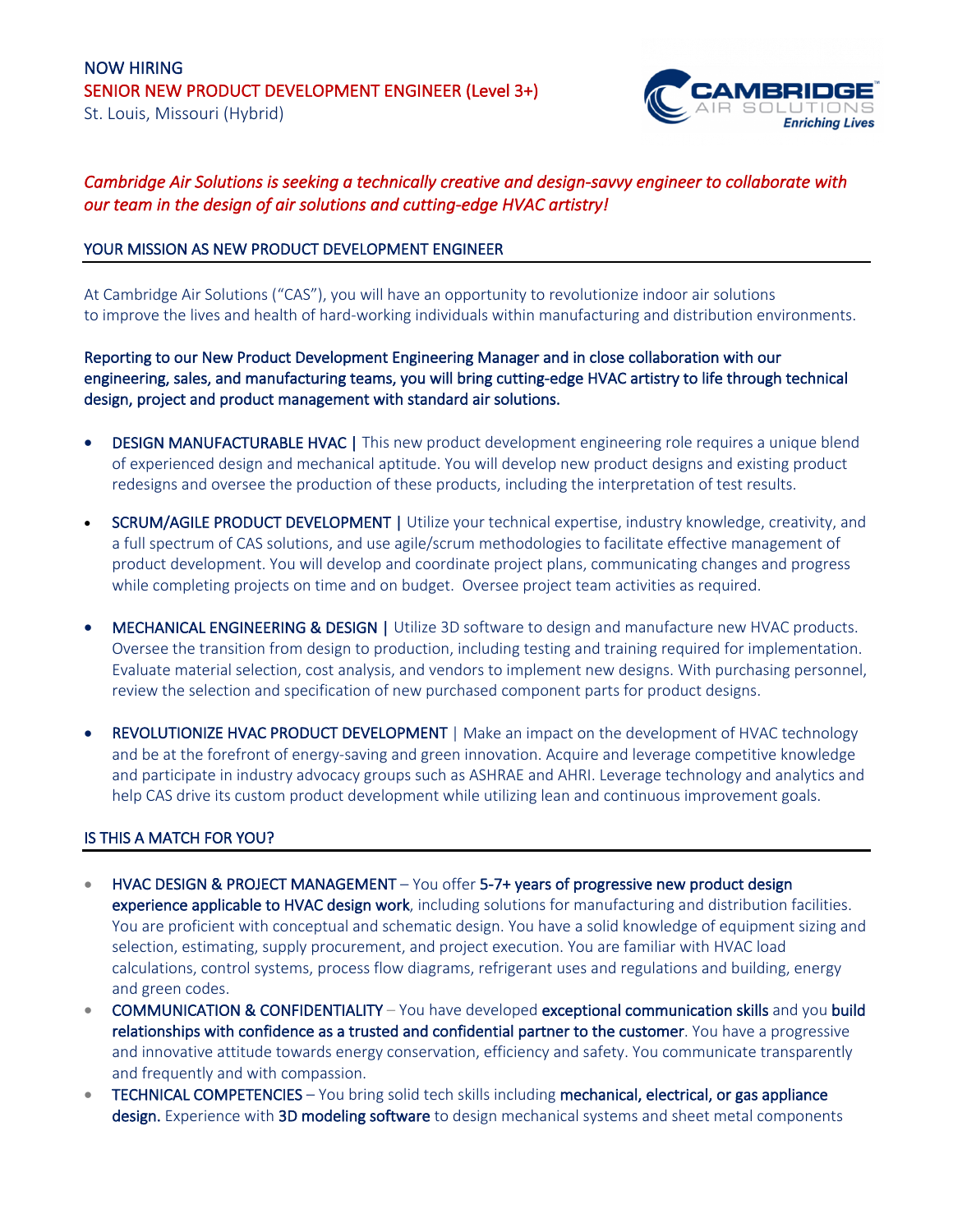

# *Cambridge Air Solutions is seeking a technically creative and design-savvy engineer to collaborate with our team in the design of air solutions and cutting-edge HVAC artistry!*

# YOUR MISSION AS NEW PRODUCT DEVELOPMENT ENGINEER

At Cambridge Air Solutions ("CAS"), you will have an opportunity to revolutionize indoor air solutions to improve the lives and health of hard-working individuals within manufacturing and distribution environments.

Reporting to our New Product Development Engineering Manager and in close collaboration with our engineering, sales, and manufacturing teams, you will bring cutting-edge HVAC artistry to life through technical design, project and product management with standard air solutions.

- DESIGN MANUFACTURABLE HVAC | This new product development engineering role requires a unique blend of experienced design and mechanical aptitude. You will develop new product designs and existing product redesigns and oversee the production of these products, including the interpretation of test results.
- SCRUM/AGILE PRODUCT DEVELOPMENT | Utilize your technical expertise, industry knowledge, creativity, and a full spectrum of CAS solutions, and use agile/scrum methodologies to facilitate effective management of product development. You will develop and coordinate project plans, communicating changes and progress while completing projects on time and on budget. Oversee project team activities as required.
- MECHANICAL ENGINEERING & DESIGN | Utilize 3D software to design and manufacture new HVAC products. Oversee the transition from design to production, including testing and training required for implementation. Evaluate material selection, cost analysis, and vendors to implement new designs. With purchasing personnel, review the selection and specification of new purchased component parts for product designs.
- REVOLUTIONIZE HVAC PRODUCT DEVELOPMENT | Make an impact on the development of HVAC technology and be at the forefront of energy-saving and green innovation. Acquire and leverage competitive knowledge and participate in industry advocacy groups such as ASHRAE and AHRI. Leverage technology and analytics and help CAS drive its custom product development while utilizing lean and continuous improvement goals.

# IS THIS A MATCH FOR YOU?

- HVAC DESIGN & PROJECT MANAGEMENT You offer 5-7+ years of progressive new product design experience applicable to HVAC design work, including solutions for manufacturing and distribution facilities. You are proficient with conceptual and schematic design. You have a solid knowledge of equipment sizing and selection, estimating, supply procurement, and project execution. You are familiar with HVAC load calculations, control systems, process flow diagrams, refrigerant uses and regulations and building, energy and green codes.
- COMMUNICATION & CONFIDENTIALITY You have developed exceptional communication skills and you build relationships with confidence as a trusted and confidential partner to the customer. You have a progressive and innovative attitude towards energy conservation, efficiency and safety. You communicate transparently and frequently and with compassion.
- TECHNICAL COMPETENCIES You bring solid tech skills including mechanical, electrical, or gas appliance design. Experience with 3D modeling software to design mechanical systems and sheet metal components